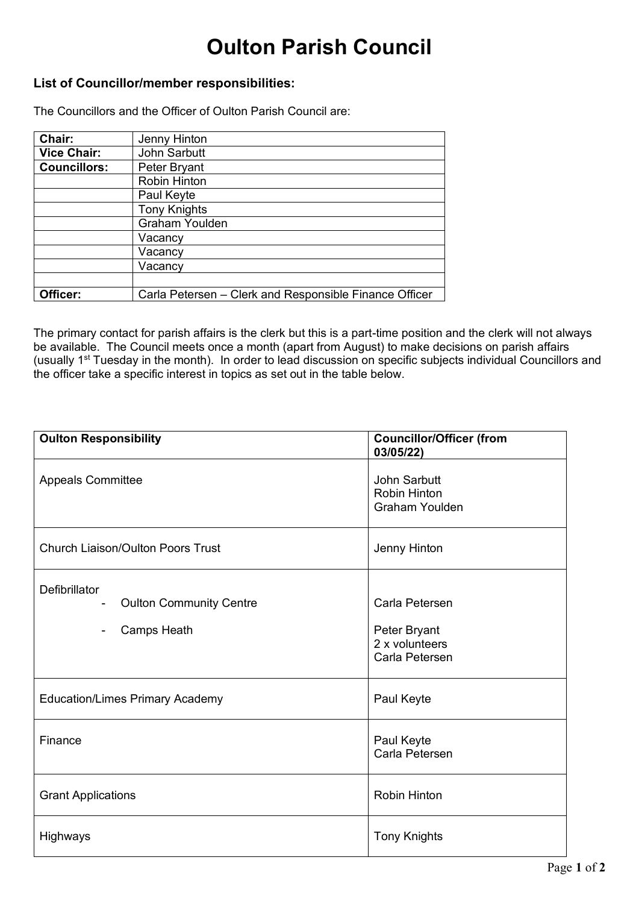## **Oulton Parish Council**

## **List of Councillor/member responsibilities:**

The Councillors and the Officer of Oulton Parish Council are:

| Chair:              | Jenny Hinton                                           |
|---------------------|--------------------------------------------------------|
| <b>Vice Chair:</b>  | John Sarbutt                                           |
| <b>Councillors:</b> | Peter Bryant                                           |
|                     | Robin Hinton                                           |
|                     | Paul Keyte                                             |
|                     | <b>Tony Knights</b>                                    |
|                     | <b>Graham Youlden</b>                                  |
|                     | Vacancy                                                |
|                     | Vacancy                                                |
|                     | Vacancy                                                |
|                     |                                                        |
| Officer:            | Carla Petersen - Clerk and Responsible Finance Officer |

The primary contact for parish affairs is the clerk but this is a part-time position and the clerk will not always be available. The Council meets once a month (apart from August) to make decisions on parish affairs (usually 1st Tuesday in the month). In order to lead discussion on specific subjects individual Councillors and the officer take a specific interest in topics as set out in the table below.

| <b>Oulton Responsibility</b>                                   | <b>Councillor/Officer (from</b><br>03/05/22)                       |
|----------------------------------------------------------------|--------------------------------------------------------------------|
| <b>Appeals Committee</b>                                       | John Sarbutt<br><b>Robin Hinton</b><br><b>Graham Youlden</b>       |
| <b>Church Liaison/Oulton Poors Trust</b>                       | Jenny Hinton                                                       |
| Defibrillator<br><b>Oulton Community Centre</b><br>Camps Heath | Carla Petersen<br>Peter Bryant<br>2 x volunteers<br>Carla Petersen |
| <b>Education/Limes Primary Academy</b>                         | Paul Keyte                                                         |
| Finance                                                        | Paul Keyte<br>Carla Petersen                                       |
| <b>Grant Applications</b>                                      | <b>Robin Hinton</b>                                                |
| Highways                                                       | <b>Tony Knights</b>                                                |